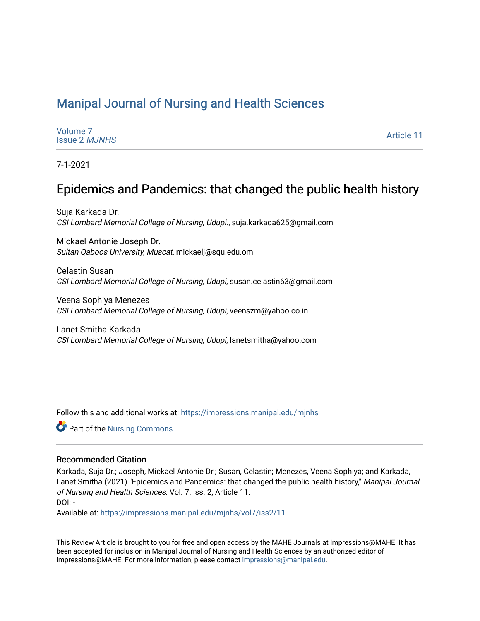# [Manipal Journal of Nursing and Health Sciences](https://impressions.manipal.edu/mjnhs)

| Volume <sub>7</sub><br><b>Issue 2 MJNHS</b> | <b>Article 11</b> |
|---------------------------------------------|-------------------|
|---------------------------------------------|-------------------|

7-1-2021

# Epidemics and Pandemics: that changed the public health history

Suja Karkada Dr. CSI Lombard Memorial College of Nursing, Udupi., suja.karkada625@gmail.com

Mickael Antonie Joseph Dr. Sultan Qaboos University, Muscat, mickaelj@squ.edu.om

Celastin Susan CSI Lombard Memorial College of Nursing, Udupi, susan.celastin63@gmail.com

Veena Sophiya Menezes CSI Lombard Memorial College of Nursing, Udupi, veenszm@yahoo.co.in

Lanet Smitha Karkada CSI Lombard Memorial College of Nursing, Udupi, lanetsmitha@yahoo.com

Follow this and additional works at: [https://impressions.manipal.edu/mjnhs](https://impressions.manipal.edu/mjnhs?utm_source=impressions.manipal.edu%2Fmjnhs%2Fvol7%2Fiss2%2F11&utm_medium=PDF&utm_campaign=PDFCoverPages) 

**C** Part of the Nursing Commons

#### Recommended Citation

Karkada, Suja Dr.; Joseph, Mickael Antonie Dr.; Susan, Celastin; Menezes, Veena Sophiya; and Karkada, Lanet Smitha (2021) "Epidemics and Pandemics: that changed the public health history," Manipal Journal of Nursing and Health Sciences: Vol. 7: Iss. 2, Article 11. DOI: -

Available at: [https://impressions.manipal.edu/mjnhs/vol7/iss2/11](https://impressions.manipal.edu/mjnhs/vol7/iss2/11?utm_source=impressions.manipal.edu%2Fmjnhs%2Fvol7%2Fiss2%2F11&utm_medium=PDF&utm_campaign=PDFCoverPages)

This Review Article is brought to you for free and open access by the MAHE Journals at Impressions@MAHE. It has been accepted for inclusion in Manipal Journal of Nursing and Health Sciences by an authorized editor of Impressions@MAHE. For more information, please contact [impressions@manipal.edu](mailto:impressions@manipal.edu).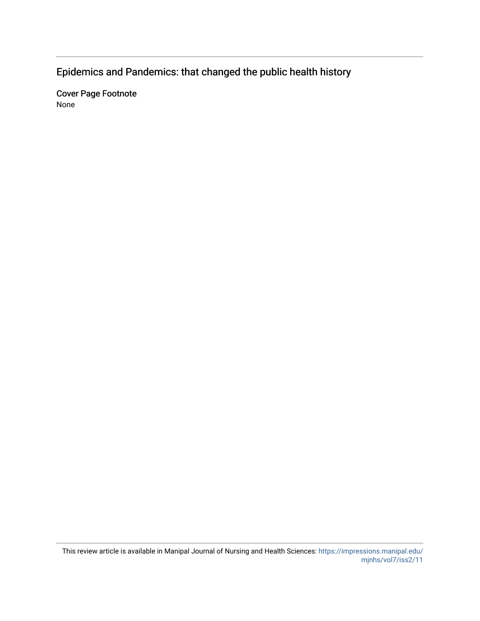Epidemics and Pandemics: that changed the public health history

Cover Page Footnote None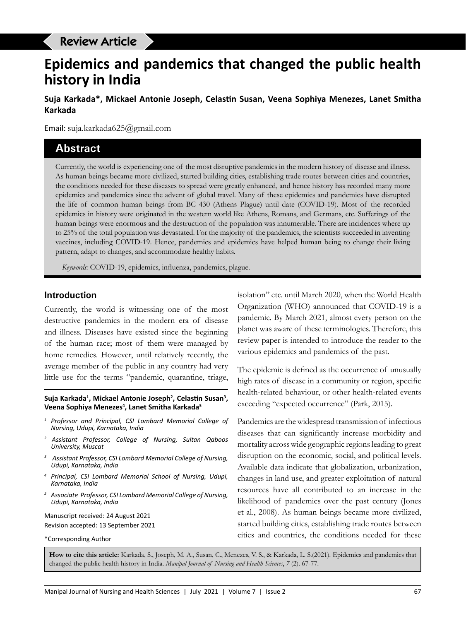# **Epidemics and pandemics that changed the public health history in India**

**Suja Karkada\*, Mickael Antonie Joseph, Celastin Susan, Veena Sophiya Menezes, Lanet Smitha Karkada**

Email: suja.karkada625@gmail.com

# **Abstract**

Currently, the world is experiencing one of the most disruptive pandemics in the modern history of disease and illness. As human beings became more civilized, started building cities, establishing trade routes between cities and countries, the conditions needed for these diseases to spread were greatly enhanced, and hence history has recorded many more epidemics and pandemics since the advent of global travel. Many of these epidemics and pandemics have disrupted the life of common human beings from BC 430 (Athens Plague) until date (COVID-19). Most of the recorded epidemics in history were originated in the western world like Athens, Romans, and Germans, etc. Sufferings of the human beings were enormous and the destruction of the population was innumerable. There are incidences where up to 25% of the total population was devastated. For the majority of the pandemics, the scientists succeeded in inventing vaccines, including COVID-19. Hence, pandemics and epidemics have helped human being to change their living pattern, adapt to changes, and accommodate healthy habits.

*Keywords:* COVID-19, epidemics, influenza, pandemics, plague.

#### **Introduction**

Currently, the world is witnessing one of the most destructive pandemics in the modern era of disease and illness. Diseases have existed since the beginning of the human race; most of them were managed by home remedies. However, until relatively recently, the average member of the public in any country had very little use for the terms "pandemic, quarantine, triage,

#### **Suja Karkada1 , Mickael Antonie Joseph2 , Celastin Susan<sup>3</sup> , Veena Sophiya Menezes4 , Lanet Smitha Karkada5**

- *<sup>1</sup> Professor and Principal, CSI Lombard Memorial College of Nursing, Udupi, Karnataka, India*
- *2 Assistant Professor, College of Nursing, Sultan Qaboos University, Muscat*
- *3 Assistant Professor, CSI Lombard Memorial College of Nursing, Udupi, Karnataka, India*
- *<sup>4</sup> Principal, CSI Lombard Memorial School of Nursing, Udupi, Karnataka, India*
- *<sup>5</sup> Associate Professor, CSI Lombard Memorial College of Nursing, Udupi, Karnataka, India*

Manuscript received: 24 August 2021 Revision accepted: 13 September 2021

\*Corresponding Author

isolation" etc. until March 2020, when the World Health Organization (WHO) announced that COVID-19 is a pandemic. By March 2021, almost every person on the planet was aware of these terminologies. Therefore, this review paper is intended to introduce the reader to the various epidemics and pandemics of the past.

The epidemic is defined as the occurrence of unusually high rates of disease in a community or region, specific health-related behaviour, or other health-related events exceeding "expected occurrence" (Park, 2015).

Pandemics are the widespread transmission of infectious diseases that can significantly increase morbidity and mortality across wide geographic regions leading to great disruption on the economic, social, and political levels. Available data indicate that globalization, urbanization, changes in land use, and greater exploitation of natural resources have all contributed to an increase in the likelihood of pandemics over the past century (Jones et al., 2008). As human beings became more civilized, started building cities, establishing trade routes between cities and countries, the conditions needed for these

**How to cite this article:** Karkada, S., Joseph, M. A., Susan, C., Menezes, V. S., & Karkada, L. S.(2021). Epidemics and pandemics that changed the public health history in India. *Manipal Journal of Nursing and Health Sciences*, *7* (2). 67-77.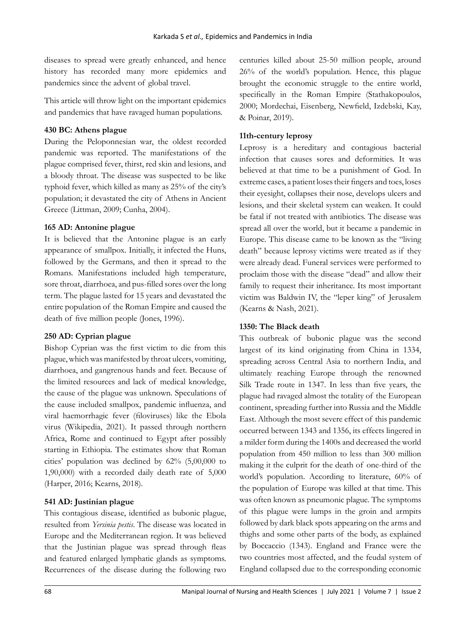diseases to spread were greatly enhanced, and hence history has recorded many more epidemics and pandemics since the advent of global travel.

This article will throw light on the important epidemics and pandemics that have ravaged human populations.

## **430 BC: Athens plague**

During the Peloponnesian war, the oldest recorded pandemic was reported. The manifestations of the plague comprised fever, thirst, red skin and lesions, and a bloody throat. The disease was suspected to be like typhoid fever, which killed as many as 25% of the city's population; it devastated the city of Athens in Ancient Greece (Littman, 2009; Cunha, 2004).

#### **165 AD: Antonine plague**

It is believed that the Antonine plague is an early appearance of smallpox. Initially, it infected the Huns, followed by the Germans, and then it spread to the Romans. Manifestations included high temperature, sore throat, diarrhoea, and pus-filled sores over the long term. The plague lasted for 15 years and devastated the entire population of the Roman Empire and caused the death of five million people (Jones, 1996).

# **250 AD: Cyprian plague**

Bishop Cyprian was the first victim to die from this plague, which was manifested by throat ulcers, vomiting, diarrhoea, and gangrenous hands and feet. Because of the limited resources and lack of medical knowledge, the cause of the plague was unknown. Speculations of the cause included smallpox, pandemic influenza, and viral haemorrhagic fever (filoviruses) like the Ebola virus (Wikipedia, 2021). It passed through northern Africa, Rome and continued to Egypt after possibly starting in Ethiopia. The estimates show that Roman cities' population was declined by 62% (5,00,000 to 1,90,000) with a recorded daily death rate of 5,000 (Harper, 2016; Kearns, 2018).

# **541 AD: Justinian plague**

This contagious disease, identified as bubonic plague, resulted from *Yersinia pestis*. The disease was located in Europe and the Mediterranean region. It was believed that the Justinian plague was spread through fleas and featured enlarged lymphatic glands as symptoms. Recurrences of the disease during the following two centuries killed about 25-50 million people, around 26% of the world's population. Hence, this plague brought the economic struggle to the entire world, specifically in the Roman Empire (Stathakopoulos, 2000; Mordechai, Eisenberg, Newfield, Izdebski, Kay, & Poinar, 2019).

## **11th-century leprosy**

Leprosy is a hereditary and contagious bacterial infection that causes sores and deformities. It was believed at that time to be a punishment of God. In extreme cases, a patient loses their fingers and toes, loses their eyesight, collapses their nose, develops ulcers and lesions, and their skeletal system can weaken. It could be fatal if not treated with antibiotics. The disease was spread all over the world, but it became a pandemic in Europe. This disease came to be known as the "living death" because leprosy victims were treated as if they were already dead. Funeral services were performed to proclaim those with the disease "dead" and allow their family to request their inheritance. Its most important victim was Baldwin IV, the "leper king" of Jerusalem (Kearns & Nash, 2021).

# **1350: The Black death**

This outbreak of bubonic plague was the second largest of its kind originating from China in 1334, spreading across Central Asia to northern India, and ultimately reaching Europe through the renowned Silk Trade route in 1347. In less than five years, the plague had ravaged almost the totality of the European continent, spreading further into Russia and the Middle East. Although the most severe effect of this pandemic occurred between 1343 and 1356, its effects lingered in a milder form during the 1400s and decreased the world population from 450 million to less than 300 million making it the culprit for the death of one-third of the world's population. According to literature, 60% of the population of Europe was killed at that time. This was often known as pneumonic plague. The symptoms of this plague were lumps in the groin and armpits followed by dark black spots appearing on the arms and thighs and some other parts of the body, as explained by Boccaccio (1343). England and France were the two countries most affected, and the feudal system of England collapsed due to the corresponding economic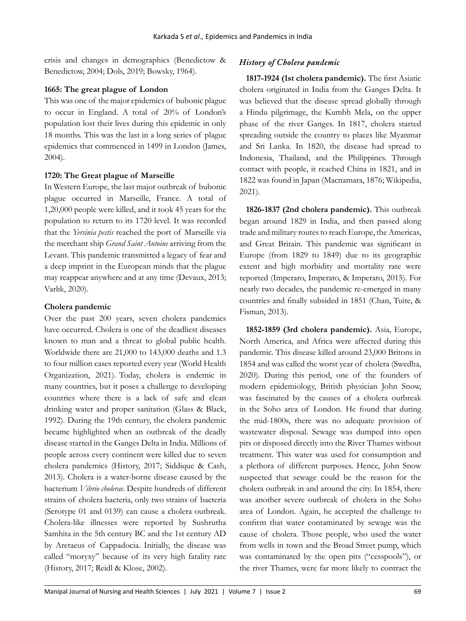crisis and changes in demographics (Benedictow & Benedictow, 2004; Dols, 2019; Bowsky, 1964).

#### **1665: The great plague of London**

This was one of the major epidemics of bubonic plague to occur in England. A total of 20% of London's population lost their lives during this epidemic in only 18 months. This was the last in a long series of plague epidemics that commenced in 1499 in London (James, 2004).

#### **1720: The Great plague of Marseille**

In Western Europe, the last major outbreak of bubonic plague occurred in Marseille, France. A total of 1,20,000 people were killed, and it took 45 years for the population to return to its 1720 level. It was recorded that the *Yersinia pestis* reached the port of Marseille via the merchant ship *Grand Saint Antoine* arriving from the Levant. This pandemic transmitted a legacy of fear and a deep imprint in the European minds that the plague may reappear anywhere and at any time (Devaux, 2013; Varlık, 2020).

#### **Cholera pandemic**

Over the past 200 years, seven cholera pandemics have occurred. Cholera is one of the deadliest diseases known to man and a threat to global public health. Worldwide there are 21,000 to 143,000 deaths and 1.3 to four million cases reported every year (World Health Organization, 2021). Today, cholera is endemic in many countries, but it poses a challenge to developing countries where there is a lack of safe and clean drinking water and proper sanitation (Glass & Black, 1992). During the 19th century, the cholera pandemic became highlighted when an outbreak of the deadly disease started in the Ganges Delta in India. Millions of people across every continent were killed due to seven cholera pandemics (History, 2017; Siddique & Cash, 2013). Cholera is a water-borne disease caused by the bacterium *Vibrio cholerae.* Despite hundreds of different strains of cholera bacteria, only two strains of bacteria (Serotype 01 and 0139) can cause a cholera outbreak. Cholera-like illnesses were reported by Sushrutha Samhita in the 5th century BC and the 1st century AD by Aretaeus of Cappadocia. Initially, the disease was called "moryxy" because of its very high fatality rate (History, 2017; Reidl & Klose, 2002).

## *History of Cholera pandemic*

**1817-1924 (1st cholera pandemic).** The first Asiatic cholera originated in India from the Ganges Delta. It was believed that the disease spread globally through a Hindu pilgrimage, the Kumbh Mela, on the upper phase of the river Ganges. In 1817, cholera started spreading outside the country to places like Myanmar and Sri Lanka. In 1820, the disease had spread to Indonesia, Thailand, and the Philippines. Through contact with people, it reached China in 1821, and in 1822 was found in Japan (Macnamara, 1876; Wikipedia, 2021).

**1826-1837 (2nd cholera pandemic).** This outbreak began around 1829 in India, and then passed along trade and military routes to reach Europe, the Americas, and Great Britain. This pandemic was significant in Europe (from 1829 to 1849) due to its geographic extent and high morbidity and mortality rate were reported (Imperaro, Imperato, & Imperato, 2015). For nearly two decades, the pandemic re-emerged in many countries and finally subsided in 1851 (Chan, Tuite, & Fisman, 2013).

**1852-1859 (3rd cholera pandemic).** Asia, Europe, North America, and Africa were affected during this pandemic. This disease killed around 23,000 Britons in 1854 and was called the worst year of cholera (Swedha, 2020). During this period, one of the founders of modern epidemiology, British physician John Snow, was fascinated by the causes of a cholera outbreak in the Soho area of London. He found that during the mid-1800s, there was no adequate provision of wastewater disposal. Sewage was dumped into open pits or disposed directly into the River Thames without treatment. This water was used for consumption and a plethora of different purposes. Hence, John Snow suspected that sewage could be the reason for the cholera outbreak in and around the city. In 1854, there was another severe outbreak of cholera in the Soho area of London. Again, he accepted the challenge to confirm that water contaminated by sewage was the cause of cholera. Those people, who used the water from wells in town and the Broad Street pump, which was contaminated by the open pits ("cesspools"), or the river Thames, were far more likely to contract the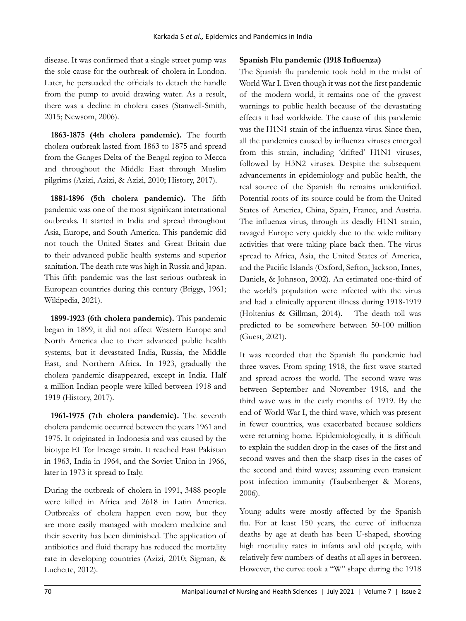disease. It was confirmed that a single street pump was the sole cause for the outbreak of cholera in London. Later, he persuaded the officials to detach the handle from the pump to avoid drawing water. As a result, there was a decline in cholera cases (Stanwell-Smith, 2015; Newsom, 2006).

**1863-1875 (4th cholera pandemic).** The fourth cholera outbreak lasted from 1863 to 1875 and spread from the Ganges Delta of the Bengal region to Mecca and throughout the Middle East through Muslim pilgrims (Azizi, Azizi, & Azizi, 2010; History, 2017).

**1881-1896 (5th cholera pandemic).** The fifth pandemic was one of the most significant international outbreaks. It started in India and spread throughout Asia, Europe, and South America. This pandemic did not touch the United States and Great Britain due to their advanced public health systems and superior sanitation. The death rate was high in Russia and Japan. This fifth pandemic was the last serious outbreak in European countries during this century (Briggs, 1961; Wikipedia, 2021).

**1899-1923 (6th cholera pandemic).** This pandemic began in 1899, it did not affect Western Europe and North America due to their advanced public health systems, but it devastated India, Russia, the Middle East, and Northern Africa. In 1923, gradually the cholera pandemic disappeared, except in India. Half a million Indian people were killed between 1918 and 1919 (History, 2017).

**1961-1975 (7th cholera pandemic).** The seventh cholera pandemic occurred between the years 1961 and 1975. It originated in Indonesia and was caused by the biotype EI Tor lineage strain. It reached East Pakistan in 1963, India in 1964, and the Soviet Union in 1966, later in 1973 it spread to Italy.

During the outbreak of cholera in 1991, 3488 people were killed in Africa and 2618 in Latin America. Outbreaks of cholera happen even now, but they are more easily managed with modern medicine and their severity has been diminished. The application of antibiotics and fluid therapy has reduced the mortality rate in developing countries (Azizi, 2010; Sigman, & Luchette, 2012).

# **Spanish Flu pandemic (1918 Influenza)**

The Spanish flu pandemic took hold in the midst of World War I. Even though it was not the first pandemic of the modern world, it remains one of the gravest warnings to public health because of the devastating effects it had worldwide. The cause of this pandemic was the H1N1 strain of the influenza virus. Since then, all the pandemics caused by influenza viruses emerged from this strain, including 'drifted' H1N1 viruses, followed by H3N2 viruses. Despite the subsequent advancements in epidemiology and public health, the real source of the Spanish flu remains unidentified. Potential roots of its source could be from the United States of America, China, Spain, France, and Austria. The influenza virus, through its deadly H1N1 strain, ravaged Europe very quickly due to the wide military activities that were taking place back then. The virus spread to Africa, Asia, the United States of America, and the Pacific Islands (Oxford, Sefton, Jackson, Innes, Daniels, & Johnson, 2002). An estimated one-third of the world's population were infected with the virus and had a clinically apparent illness during 1918-1919 (Holtenius & Gillman, 2014). The death toll was predicted to be somewhere between 50-100 million (Guest, 2021).

It was recorded that the Spanish flu pandemic had three waves. From spring 1918, the first wave started and spread across the world. The second wave was between September and November 1918, and the third wave was in the early months of 1919. By the end of World War I, the third wave, which was present in fewer countries, was exacerbated because soldiers were returning home. Epidemiologically, it is difficult to explain the sudden drop in the cases of the first and second waves and then the sharp rises in the cases of the second and third waves; assuming even transient post infection immunity (Taubenberger & Morens, 2006).

Young adults were mostly affected by the Spanish flu. For at least 150 years, the curve of influenza deaths by age at death has been U-shaped, showing high mortality rates in infants and old people, with relatively few numbers of deaths at all ages in between. However, the curve took a "W" shape during the 1918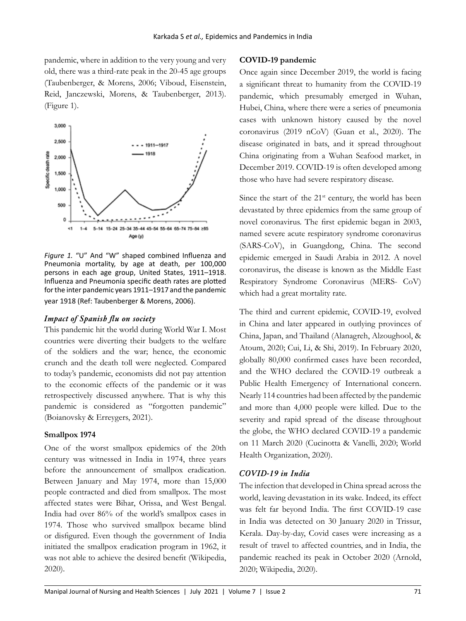pandemic, where in addition to the very young and very old, there was a third-rate peak in the 20-45 age groups (Taubenberger, & Morens, 2006; Viboud, Eisenstein, Reid, Janczewski, Morens, & Taubenberger, 2013). (Figure 1).



*Figure 1.* "U" And "W" shaped combined Influenza and Pneumonia mortality, by age at death, per 100,000 persons in each age group, United States, 1911–1918. Influenza and Pneumonia specific death rates are plotted for the inter pandemic years 1911–1917 and the pandemic year 1918 (Ref: Taubenberger & Morens, 2006).

#### *Impact of Spanish flu on society*

This pandemic hit the world during World War I. Most countries were diverting their budgets to the welfare of the soldiers and the war; hence, the economic crunch and the death toll were neglected. Compared to today's pandemic, economists did not pay attention to the economic effects of the pandemic or it was retrospectively discussed anywhere. That is why this pandemic is considered as "forgotten pandemic" (Boianovsky & Erreygers, 2021).

#### **Smallpox 1974**

One of the worst smallpox epidemics of the 20th century was witnessed in India in 1974, three years before the announcement of smallpox eradication. Between January and May 1974, more than 15,000 people contracted and died from smallpox. The most affected states were Bihar, Orissa, and West Bengal. India had over 86% of the world's smallpox cases in 1974. Those who survived smallpox became blind or disfigured. Even though the government of India initiated the smallpox eradication program in 1962, it was not able to achieve the desired benefit (Wikipedia, 2020).

#### **COVID-19 pandemic**

Once again since December 2019, the world is facing a significant threat to humanity from the COVID-19 pandemic, which presumably emerged in Wuhan, Hubei, China, where there were a series of pneumonia cases with unknown history caused by the novel coronavirus (2019 nCoV) (Guan et al., 2020). The disease originated in bats, and it spread throughout China originating from a Wuhan Seafood market, in December 2019. COVID-19 is often developed among those who have had severe respiratory disease.

Since the start of the  $21<sup>st</sup>$  century, the world has been devastated by three epidemics from the same group of novel coronavirus. The first epidemic began in 2003, named severe acute respiratory syndrome coronavirus (SARS-CoV), in Guangdong, China. The second epidemic emerged in Saudi Arabia in 2012. A novel coronavirus, the disease is known as the Middle East Respiratory Syndrome Coronavirus (MERS- CoV) which had a great mortality rate.

The third and current epidemic, COVID-19, evolved in China and later appeared in outlying provinces of China, Japan, and Thailand (Alanagreh, Alzoughool, & Atoum, 2020; Cui, Li, & Shi, 2019). In February 2020, globally 80,000 confirmed cases have been recorded, and the WHO declared the COVID-19 outbreak a Public Health Emergency of International concern. Nearly 114 countries had been affected by the pandemic and more than 4,000 people were killed. Due to the severity and rapid spread of the disease throughout the globe, the WHO declared COVID-19 a pandemic on 11 March 2020 (Cucinotta & Vanelli, 2020; World Health Organization, 2020).

# *COVID-19 in India*

The infection that developed in China spread across the world, leaving devastation in its wake. Indeed, its effect was felt far beyond India. The first COVID-19 case in India was detected on 30 January 2020 in Trissur, Kerala. Day-by-day, Covid cases were increasing as a result of travel to affected countries, and in India, the pandemic reached its peak in October 2020 (Arnold, 2020; Wikipedia, 2020).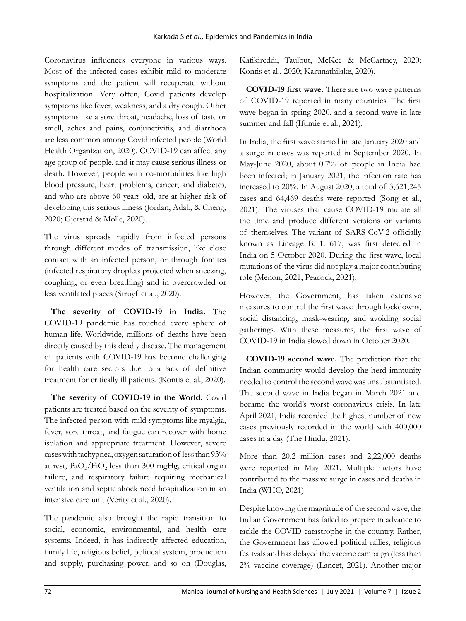Coronavirus influences everyone in various ways. Most of the infected cases exhibit mild to moderate symptoms and the patient will recuperate without hospitalization. Very often, Covid patients develop symptoms like fever, weakness, and a dry cough. Other symptoms like a sore throat, headache, loss of taste or smell, aches and pains, conjunctivitis, and diarrhoea are less common among Covid infected people (World Health Organization, 2020). COVID-19 can affect any age group of people, and it may cause serious illness or death. However, people with co-morbidities like high blood pressure, heart problems, cancer, and diabetes, and who are above 60 years old, are at higher risk of developing this serious illness (Jordan, Adab, & Cheng, 2020; Gjerstad & Molle, 2020).

The virus spreads rapidly from infected persons through different modes of transmission, like close contact with an infected person, or through fomites (infected respiratory droplets projected when sneezing, coughing, or even breathing) and in overcrowded or less ventilated places (Struyf et al., 2020).

**The severity of COVID-19 in India.** The COVID-19 pandemic has touched every sphere of human life. Worldwide, millions of deaths have been directly caused by this deadly disease. The management of patients with COVID-19 has become challenging for health care sectors due to a lack of definitive treatment for critically ill patients. (Kontis et al., 2020).

**The severity of COVID-19 in the World.** Covid patients are treated based on the severity of symptoms. The infected person with mild symptoms like myalgia, fever, sore throat, and fatigue can recover with home isolation and appropriate treatment. However, severe cases with tachypnea, oxygen saturation of less than 93% at rest,  $PaO_2/FiO_2$  less than 300 mgHg, critical organ failure, and respiratory failure requiring mechanical ventilation and septic shock need hospitalization in an intensive care unit (Verity et al., 2020).

The pandemic also brought the rapid transition to social, economic, environmental, and health care systems. Indeed, it has indirectly affected education, family life, religious belief, political system, production and supply, purchasing power, and so on (Douglas, Katikireddi, Taulbut, McKee & McCartney, 2020; Kontis et al., 2020; Karunathilake, 2020).

**COVID-19 first wave.** There are two wave patterns of COVID-19 reported in many countries. The first wave began in spring 2020, and a second wave in late summer and fall (Iftimie et al., 2021).

In India, the first wave started in late January 2020 and a surge in cases was reported in September 2020. In May-June 2020, about 0.7% of people in India had been infected; in January 2021, the infection rate has increased to 20%. In August 2020, a total of 3,621,245 cases and 64,469 deaths were reported (Song et al., 2021). The viruses that cause COVID-19 mutate all the time and produce different versions or variants of themselves. The variant of SARS-CoV-2 officially known as Lineage B. 1. 617, was first detected in India on 5 October 2020. During the first wave, local mutations of the virus did not play a major contributing role (Menon, 2021; Peacock, 2021).

However, the Government, has taken extensive measures to control the first wave through lockdowns, social distancing, mask-wearing, and avoiding social gatherings. With these measures, the first wave of COVID-19 in India slowed down in October 2020.

**COVID-19 second wave.** The prediction that the Indian community would develop the herd immunity needed to control the second wave was unsubstantiated. The second wave in India began in March 2021 and became the world's worst coronavirus crisis. In late April 2021, India recorded the highest number of new cases previously recorded in the world with 400,000 cases in a day (The Hindu, 2021).

More than 20.2 million cases and 2,22,000 deaths were reported in May 2021. Multiple factors have contributed to the massive surge in cases and deaths in India (WHO, 2021).

Despite knowing the magnitude of the second wave, the Indian Government has failed to prepare in advance to tackle the COVID catastrophe in the country. Rather, the Government has allowed political rallies, religious festivals and has delayed the vaccine campaign (less than 2% vaccine coverage) (Lancet, 2021). Another major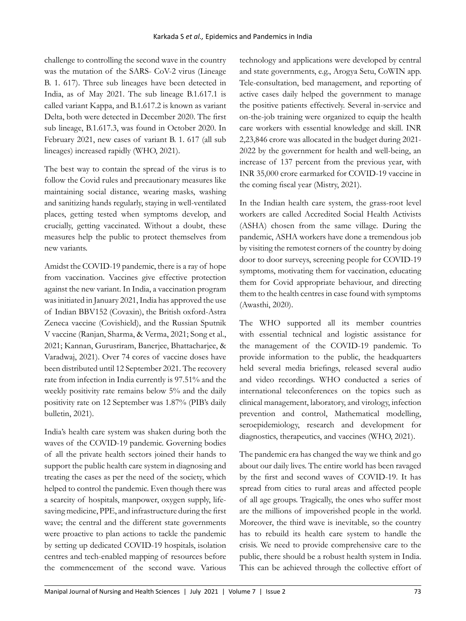challenge to controlling the second wave in the country was the mutation of the SARS- CoV-2 virus (Lineage B. 1. 617). Three sub lineages have been detected in India, as of May 2021. The sub lineage B.1.617.1 is called variant Kappa, and B.1.617.2 is known as variant Delta, both were detected in December 2020. The first sub lineage, B.1.617.3, was found in October 2020. In February 2021, new cases of variant B. 1. 617 (all sub lineages) increased rapidly (WHO, 2021).

The best way to contain the spread of the virus is to follow the Covid rules and precautionary measures like maintaining social distance, wearing masks, washing and sanitizing hands regularly, staying in well-ventilated places, getting tested when symptoms develop, and crucially, getting vaccinated. Without a doubt, these measures help the public to protect themselves from new variants.

Amidst the COVID-19 pandemic, there is a ray of hope from vaccination. Vaccines give effective protection against the new variant. In India, a vaccination program was initiated in January 2021, India has approved the use of Indian BBV152 (Covaxin), the British oxford-Astra Zeneca vaccine (Covishield), and the Russian Sputnik V vaccine (Ranjan, Sharma, & Verma, 2021; Song et al., 2021; Kannan, Gurusriram, Banerjee, Bhattacharjee, & Varadwaj, 2021). Over 74 cores of vaccine doses have been distributed until 12 September 2021. The recovery rate from infection in India currently is 97.51% and the weekly positivity rate remains below 5% and the daily positivity rate on 12 September was 1.87% (PIB's daily bulletin, 2021).

India's health care system was shaken during both the waves of the COVID-19 pandemic. Governing bodies of all the private health sectors joined their hands to support the public health care system in diagnosing and treating the cases as per the need of the society, which helped to control the pandemic. Even though there was a scarcity of hospitals, manpower, oxygen supply, lifesaving medicine, PPE, and infrastructure during the first wave; the central and the different state governments were proactive to plan actions to tackle the pandemic by setting up dedicated COVID-19 hospitals, isolation centres and tech-enabled mapping of resources before the commencement of the second wave. Various

technology and applications were developed by central and state governments, e.g., Arogya Setu, CoWIN app. Tele-consultation, bed management, and reporting of active cases daily helped the government to manage the positive patients effectively. Several in-service and on-the-job training were organized to equip the health care workers with essential knowledge and skill. INR 2,23,846 crore was allocated in the budget during 2021- 2022 by the government for health and well-being, an increase of 137 percent from the previous year, with INR 35,000 crore earmarked for COVID-19 vaccine in the coming fiscal year (Mistry, 2021).

In the Indian health care system, the grass-root level workers are called Accredited Social Health Activists (ASHA) chosen from the same village. During the pandemic, ASHA workers have done a tremendous job by visiting the remotest corners of the country by doing door to door surveys, screening people for COVID-19 symptoms, motivating them for vaccination, educating them for Covid appropriate behaviour, and directing them to the health centres in case found with symptoms (Awasthi, 2020).

The WHO supported all its member countries with essential technical and logistic assistance for the management of the COVID-19 pandemic. To provide information to the public, the headquarters held several media briefings, released several audio and video recordings. WHO conducted a series of international teleconferences on the topics such as clinical management, laboratory, and virology, infection prevention and control, Mathematical modelling, seroepidemiology, research and development for diagnostics, therapeutics, and vaccines (WHO, 2021).

The pandemic era has changed the way we think and go about our daily lives. The entire world has been ravaged by the first and second waves of COVID-19. It has spread from cities to rural areas and affected people of all age groups. Tragically, the ones who suffer most are the millions of impoverished people in the world. Moreover, the third wave is inevitable, so the country has to rebuild its health care system to handle the crisis. We need to provide comprehensive care to the public, there should be a robust health system in India. This can be achieved through the collective effort of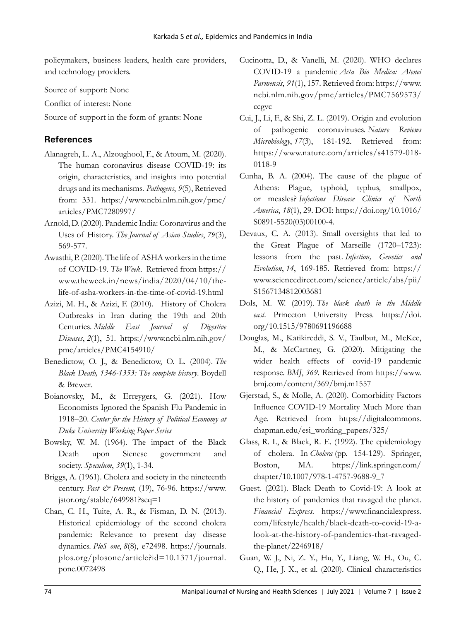policymakers, business leaders, health care providers, and technology providers.

Source of support: None

Conflict of interest: None

Source of support in the form of grants: None

# **References**

- Alanagreh, L. A., Alzoughool, F., & Atoum, M. (2020). The human coronavirus disease COVID-19: its origin, characteristics, and insights into potential drugs and its mechanisms. *Pathogens*, *9*(5), Retrieved from: 331. https://www.ncbi.nlm.nih.gov/pmc/ articles/PMC7280997/
- Arnold, D. (2020). Pandemic India: Coronavirus and the Uses of History. *The Journal of Asian Studies*, *79*(3), 569-577.
- Awasthi, P. (2020). The life of ASHA workers in the time of COVID-19. *The Week.* Retrieved from https:// www.theweek.in/news/india/2020/04/10/thelife-of-asha-workers-in-the-time-of-covid-19.html
- Azizi, M. H., & Azizi, F. (2010). History of Cholera Outbreaks in Iran during the 19th and 20th Centuries. *Middle East Journal of Digestive Diseases*, *2*(1), 51. https://www.ncbi.nlm.nih.gov/ pmc/articles/PMC4154910/
- Benedictow, O. J., & Benedictow, O. L. (2004). *The Black Death, 1346-1353: The complete history*. Boydell & Brewer.
- Boianovsky, M., & Erreygers, G. (2021). How Economists Ignored the Spanish Flu Pandemic in 1918–20. *Center for the History of Political Economy at Duke University Working Paper Series*
- Bowsky, W. M. (1964). The impact of the Black Death upon Sienese government and society. *Speculum*, *39*(1), 1-34.
- Briggs, A. (1961). Cholera and society in the nineteenth century. *Past & Present*, (19), 76-96. https://www. jstor.org/stable/649981?seq=1
- Chan, C. H., Tuite, A. R., & Fisman, D. N. (2013). Historical epidemiology of the second cholera pandemic: Relevance to present day disease dynamics. *PloS one*, *8*(8), e72498. https://journals. plos.org/plosone/article?id=10.1371/journal. pone.0072498
- Cucinotta, D., & Vanelli, M. (2020). WHO declares COVID-19 a pandemic *Acta Bio Medica: Atenei Parmensis*, *91*(1), 157. Retrieved from: https://www. ncbi.nlm.nih.gov/pmc/articles/PMC7569573/ ccgvc
- Cui, J., Li, F., & Shi, Z. L. (2019). Origin and evolution of pathogenic coronaviruses. *Nature Reviews Microbiology*, *17*(3), 181-192. Retrieved from: https://www.nature.com/articles/s41579-018- 0118-9
- Cunha, B. A. (2004). The cause of the plague of Athens: Plague, typhoid, typhus, smallpox, or measles? *Infectious Disease Clinics of North America*, *18*(1), 29. DOI: https://doi.org/10.1016/ S0891-5520(03)00100-4.
- Devaux, C. A. (2013). Small oversights that led to the Great Plague of Marseille (1720–1723): lessons from the past. *Infection, Genetics and Evolution*, *14*, 169-185. Retrieved from: https:// www.sciencedirect.com/science/article/abs/pii/ S1567134812003681
- Dols, M. W. (2019). *The black death in the Middle east*. Princeton University Press. https://doi. org/10.1515/9780691196688
- Douglas, M., Katikireddi, S. V., Taulbut, M., McKee, M., & McCartney, G. (2020). Mitigating the wider health effects of covid-19 pandemic response. *BMJ*, *369*. Retrieved from https://www. bmj.com/content/369/bmj.m1557
- Gjerstad, S., & Molle, A. (2020). Comorbidity Factors Influence COVID-19 Mortality Much More than Age. Retrieved from https://digitalcommons. chapman.edu/esi\_working\_papers/325/
- Glass, R. I., & Black, R. E. (1992). The epidemiology of cholera. In *Cholera* (pp. 154-129). Springer, Boston, MA. https://link.springer.com/ chapter/10.1007/978-1-4757-9688-9\_7
- Guest. (2021). Black Death to Covid-19: A look at the history of pandemics that ravaged the planet. *Financial Express*. https://www.financialexpress. com/lifestyle/health/black-death-to-covid-19-alook-at-the-history-of-pandemics-that-ravagedthe-planet/2246918/
- Guan, W. J., Ni, Z. Y., Hu, Y., Liang, W. H., Ou, C. Q., He, J. X., et al. (2020). Clinical characteristics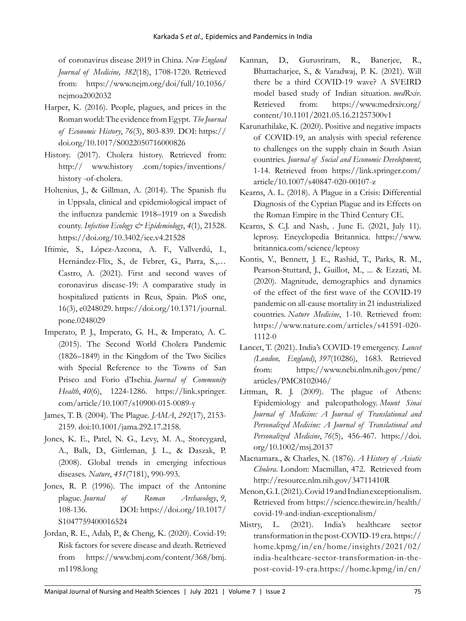of coronavirus disease 2019 in China. *New England Journal of Medicine, 382*(18), 1708-1720. Retrieved from: https://www.nejm.org/doi/full/10.1056/ nejmoa2002032

- Harper, K. (2016). People, plagues, and prices in the Roman world: The evidence from Egypt. *The Journal of Economic History*, *76*(3), 803-839. DOI: https:// doi.org/10.1017/S0022050716000826
- History. (2017). Cholera history. Retrieved from: http:// www.history .com/topics/inventions/ history -of-cholera.
- Holtenius, J., & Gillman, A. (2014). The Spanish flu in Uppsala, clinical and epidemiological impact of the influenza pandemic 1918–1919 on a Swedish county. *Infection Ecology & Epidemiology*, *4*(1), 21528. https://doi.org/10.3402/iee.v4.21528
- Iftimie, S., López-Azcona, A. F., Vallverdú, I., Hernández-Flix, S., de Febrer, G., Parra, S.,… Castro, A. (2021). First and second waves of coronavirus disease-19: A comparative study in hospitalized patients in Reus, Spain. PloS one, 16(3), e0248029. https://doi.org/10.1371/journal. pone.0248029
- Imperato, P. J., Imperato, G. H., & Imperato, A. C. (2015). The Second World Cholera Pandemic (1826–1849) in the Kingdom of the Two Sicilies with Special Reference to the Towns of San Prisco and Forio d'Ischia. *Journal of Community Health*, *40*(6), 1224-1286. https://link.springer. com/article/10.1007/s10900-015-0089-y
- James, T. B. (2004). The Plague. *JAMA*, *292*(17), 2153- 2159. doi:10.1001/jama.292.17.2158.
- Jones, K. E., Patel, N. G., Levy, M. A., Storeygard, A., Balk, D., Gittleman, J. L., & Daszak, P. (2008). Global trends in emerging infectious diseases. *Nature*, *451*(7181), 990-993.
- Jones, R. P. (1996). The impact of the Antonine plague. *Journal of Roman Archaeology*, *9*, 108-136. DOI: https://doi.org/10.1017/ S1047759400016524
- Jordan, R. E., Adab, P., & Cheng, K. (2020). Covid-19: Risk factors for severe disease and death. Retrieved from https://www.bmj.com/content/368/bmj. m1198.long
- Kannan, D., Gurusriram, R., Banerjee, R., Bhattacharjee, S., & Varadwaj, P. K. (2021). Will there be a third COVID-19 wave? A SVEIRD model based study of Indian situation. *medRxiv*. Retrieved from: https://www.medrxiv.org/ content/10.1101/2021.05.16.21257300v1
- Karunathilake, K. (2020). Positive and negative impacts of COVID-19, an analysis with special reference to challenges on the supply chain in South Asian countries. *Journal of Social and Economic Development*, 1-14. Retrieved from https://link.springer.com/ article/10.1007/s40847-020-00107-z
- Kearns, A. L. (2018). A Plague in a Crisis: Differential Diagnosis of the Cyprian Plague and its Effects on the Roman Empire in the Third Century CE.
- Kearns, S. C.J. and Nash, . June E. (2021, July 11). leprosy. Encyclopedia Britannica. https://www. britannica.com/science/leprosy
- Kontis, V., Bennett, J. E., Rashid, T., Parks, R. M., Pearson-Stuttard, J., Guillot, M., ... & Ezzati, M. (2020). Magnitude, demographics and dynamics of the effect of the first wave of the COVID-19 pandemic on all-cause mortality in 21 industrialized countries. *Nature Medicine*, 1-10. Retrieved from: https://www.nature.com/articles/s41591-020- 1112-0
- Lancet, T. (2021). India's COVID-19 emergency. *Lancet (London, England)*, *397*(10286), 1683. Retrieved from: https://www.ncbi.nlm.nih.gov/pmc/ articles/PMC8102046/
- Littman, R. J. (2009). The plague of Athens: Epidemiology and paleopathology. *Mount Sinai Journal of Medicine: A Journal of Translational and Personalized Medicine: A Journal of Translational and Personalized Medicine*, *76*(5), 456-467. https://doi. org/10.1002/msj.20137
- Macnamara., & Charles, N. (1876). *A History of Asiatic Cholera*. London: Macmillan, 472. Retrieved from http://resource.nlm.nih.gov/34711410R
- Menon, G. I. (2021). Covid 19 and Indian exceptionalism. Retrieved from https://science.thewire.in/health/ covid-19-and-indian-exceptionalism/
- Mistry, L. (2021). India's healthcare sector transformation in the post-COVID-19 era. https:// home.kpmg/in/en/home/insights/2021/02/ india-healthcare-sector-transformation-in-thepost-covid-19-era.https://home.kpmg/in/en/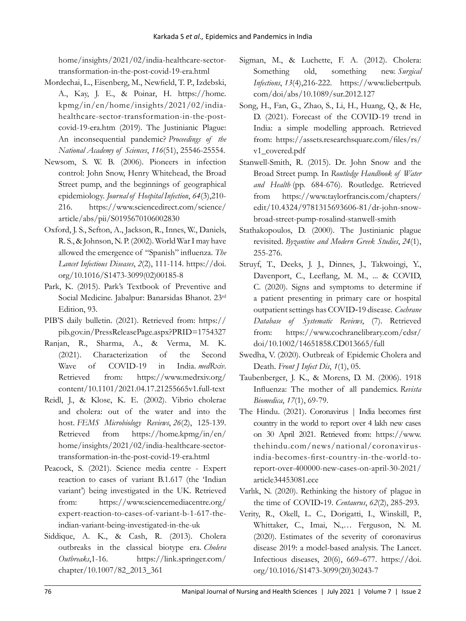home/insights/2021/02/india-healthcare-sectortransformation-in-the-post-covid-19-era.html

- Mordechai, L., Eisenberg, M., Newfield, T. P., Izdebski, A., Kay, J. E., & Poinar, H. https://home. kpmg/in/en/home/insights/2021/02/indiahealthcare-sector-transformation-in-the-postcovid-19-era.htm (2019). The Justinianic Plague: An inconsequential pandemic? *Proceedings of the National Academy of Sciences*, *116*(51), 25546-25554.
- Newsom, S. W. B. (2006). Pioneers in infection control: John Snow, Henry Whitehead, the Broad Street pump, and the beginnings of geographical epidemiology. *Journal of Hospital Infection*, *64*(3),210- 216. https://www.sciencedirect.com/science/ article/abs/pii/S0195670106002830
- Oxford, J. S., Sefton, A., Jackson, R., Innes, W., Daniels, R. S., & Johnson, N. P. (2002). World War I may have allowed the emergence of "Spanish" influenza. *The Lancet Infectious Diseases*, *2*(2), 111-114. https://doi. org/10.1016/S1473-3099(02)00185-8
- Park, K. (2015). Park's Textbook of Preventive and Social Medicine. Jabalpur: Banarsidas Bhanot. 23rd Edition, 93.
- PIB'S daily bulletin. (2021). Retrieved from: https:// pib.gov.in/PressReleasePage.aspx?PRID=1754327
- Ranjan, R., Sharma, A., & Verma, M. K. (2021). Characterization of the Second Wave of COVID-19 in India. *medRxiv*. Retrieved from: https://www.medrxiv.org/ content/10.1101/2021.04.17.21255665v1.full-text
- Reidl, J., & Klose, K. E. (2002). Vibrio cholerae and cholera: out of the water and into the host. *FEMS Microbiology Reviews*, *26*(2), 125-139. Retrieved from https://home.kpmg/in/en/ home/insights/2021/02/india-healthcare-sectortransformation-in-the-post-covid-19-era.html
- Peacock, S. (2021). Science media centre Expert reaction to cases of variant B.1.617 (the 'Indian variant') being investigated in the UK. Retrieved from: https://www.sciencemediacentre.org/ expert-reaction-to-cases-of-variant-b-1-617-theindian-variant-being-investigated-in-the-uk
- Siddique, A. K., & Cash, R. (2013). Cholera outbreaks in the classical biotype era. *Cholera Outbreaks*,1-16. https://link.springer.com/ chapter/10.1007/82\_2013\_361
- Sigman, M., & Luchette, F. A. (2012). Cholera: Something old, something new. *Surgical Infections*, *13*(4),216-222. https://www.liebertpub. com/doi/abs/10.1089/sur.2012.127
- Song, H., Fan, G., Zhao, S., Li, H., Huang, Q., & He, D. (2021). Forecast of the COVID-19 trend in India: a simple modelling approach. Retrieved from: https://assets.researchsquare.com/files/rs/ v1\_covered.pdf
- Stanwell-Smith, R. (2015). Dr. John Snow and the Broad Street pump. In *Routledge Handbook of Water and Health* (pp. 684-676). Routledge. Retrieved from https://www.taylorfrancis.com/chapters/ edit/10.4324/9781315693606-81/dr-john-snowbroad-street-pump-rosalind-stanwell-smith
- Stathakopoulos, D. (2000). The Justinianic plague revisited. *Byzantine and Modern Greek Studies*, *24*(1), 255-276.
- Struyf, T., Deeks, J. J., Dinnes, J., Takwoingi, Y., Davenport, C., Leeflang, M. M., ... & COVID, C. (2020). Signs and symptoms to determine if a patient presenting in primary care or hospital outpatient settings has COVID‐19 disease. *Cochrane Database of Systematic Reviews*, (7). Retrieved from: https://www.cochranelibrary.com/cdsr/ doi/10.1002/14651858.CD013665/full
- Swedha, V. (2020). Outbreak of Epidemic Cholera and Death. *Front J Infect Dis*, *1*(1), 05.
- Taubenberger, J. K., & Morens, D. M. (2006). 1918 Influenza: The mother of all pandemics. *Revista Biomedica*, *17*(1), 69-79.
- The Hindu. (2021). Coronavirus | India becomes first country in the world to report over 4 lakh new cases on 30 April 2021. Retrieved from: https://www. thehindu.com/news/national/coronavirusindia-becomes-first-country-in-the-world-toreport-over-400000-new-cases-on-april-30-2021/ article34453081.ece
- Varlık, N. (2020). Rethinking the history of plague in the time of COVID‐19. *Centaurus*, *62*(2), 285-293.
- Verity, R., Okell, L. C., Dorigatti, I., Winskill, P., Whittaker, C., Imai, N.,… Ferguson, N. M. (2020). Estimates of the severity of coronavirus disease 2019: a model-based analysis. The Lancet. Infectious diseases, 20(6), 669–677. https://doi. org/10.1016/S1473-3099(20)30243-7